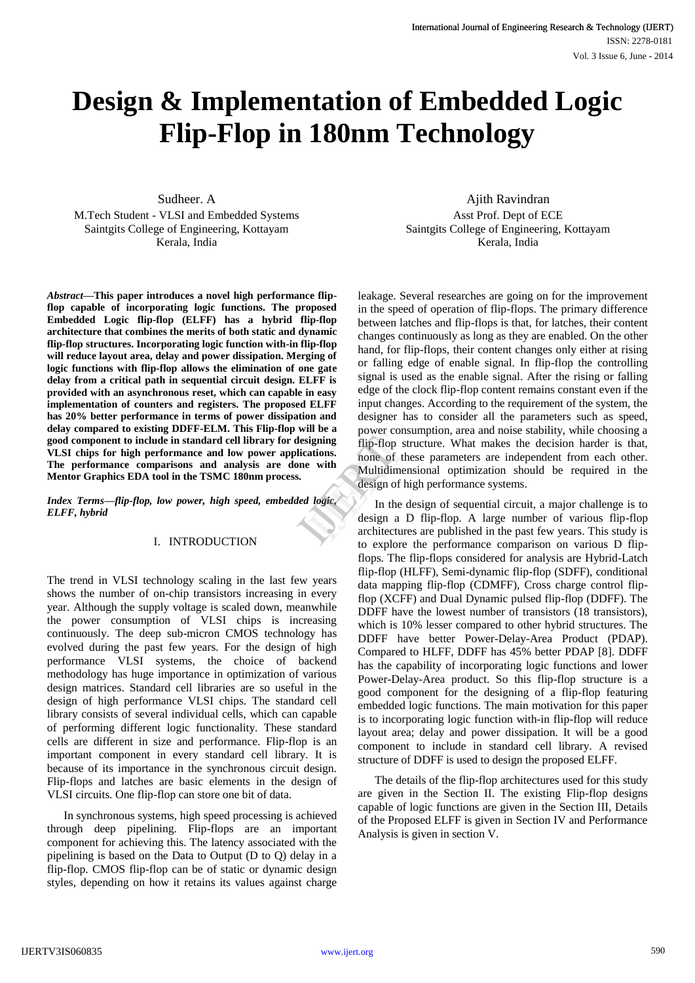# **Design & Implementation of Embedded Logic Flip-Flop in 180nm Technology**

Sudheer. A M.Tech Student - VLSI and Embedded Systems

Saintgits College of Engineering, Kottayam Kerala, India

*Abstract***—This paper introduces a novel high performance flipflop capable of incorporating logic functions. The proposed Embedded Logic flip-flop (ELFF) has a hybrid flip-flop architecture that combines the merits of both static and dynamic flip-flop structures. Incorporating logic function with-in flip-flop will reduce layout area, delay and power dissipation. Merging of logic functions with flip-flop allows the elimination of one gate delay from a critical path in sequential circuit design. ELFF is provided with an asynchronous reset, which can capable in easy implementation of counters and registers. The proposed ELFF has 20% better performance in terms of power dissipation and delay compared to existing DDFF-ELM. This Flip-flop will be a good component to include in standard cell library for designing VLSI chips for high performance and low power applications. The performance comparisons and analysis are done with Mentor Graphics EDA tool in the TSMC 180nm process.**

*Index Terms—flip-flop, low power, high speed, embedded logic, ELFF, hybrid*

## I. INTRODUCTION

The trend in VLSI technology scaling in the last few years shows the number of on-chip transistors increasing in every year. Although the supply voltage is scaled down, meanwhile the power consumption of VLSI chips is increasing continuously. The deep sub-micron CMOS technology has evolved during the past few years. For the design of high performance VLSI systems, the choice of backend methodology has huge importance in optimization of various design matrices. Standard cell libraries are so useful in the design of high performance VLSI chips. The standard cell library consists of several individual cells, which can capable of performing different logic functionality. These standard cells are different in size and performance. Flip-flop is an important component in every standard cell library. It is because of its importance in the synchronous circuit design. Flip-flops and latches are basic elements in the design of VLSI circuits. One flip-flop can store one bit of data.

In synchronous systems, high speed processing is achieved through deep pipelining. Flip-flops are an important component for achieving this. The latency associated with the pipelining is based on the Data to Output (D to Q) delay in a flip-flop. CMOS flip-flop can be of static or dynamic design styles, depending on how it retains its values against charge

Ajith Ravindran Asst Prof. Dept of ECE Saintgits College of Engineering, Kottayam Kerala, India

leakage. Several researches are going on for the improvement in the speed of operation of flip-flops. The primary difference between latches and flip-flops is that, for latches, their content changes continuously as long as they are enabled. On the other hand, for flip-flops, their content changes only either at rising or falling edge of enable signal. In flip-flop the controlling signal is used as the enable signal. After the rising or falling edge of the clock flip-flop content remains constant even if the input changes. According to the requirement of the system, the designer has to consider all the parameters such as speed, power consumption, area and noise stability, while choosing a flip-flop structure. What makes the decision harder is that, none of these parameters are independent from each other. Multidimensional optimization should be required in the design of high performance systems. Figure 1991<br>
External distributions<br>
Figure 11 and 1991<br>
The Multidimens<br>
design of higher<br>
In the design a D<br>
architectures

In the design of sequential circuit, a major challenge is to design a D flip-flop. A large number of various flip-flop architectures are published in the past few years. This study is to explore the performance comparison on various D flipflops. The flip-flops considered for analysis are Hybrid-Latch flip-flop (HLFF), Semi-dynamic flip-flop (SDFF), conditional data mapping flip-flop (CDMFF), Cross charge control flipflop (XCFF) and Dual Dynamic pulsed flip-flop (DDFF). The DDFF have the lowest number of transistors (18 transistors), which is 10% lesser compared to other hybrid structures. The DDFF have better Power-Delay-Area Product (PDAP). Compared to HLFF, DDFF has 45% better PDAP [8]. DDFF has the capability of incorporating logic functions and lower Power-Delay-Area product. So this flip-flop structure is a good component for the designing of a flip-flop featuring embedded logic functions. The main motivation for this paper is to incorporating logic function with-in flip-flop will reduce layout area; delay and power dissipation. It will be a good component to include in standard cell library. A revised structure of DDFF is used to design the proposed ELFF.

The details of the flip-flop architectures used for this study are given in the Section II. The existing Flip-flop designs capable of logic functions are given in the Section III, Details of the Proposed ELFF is given in Section IV and Performance Analysis is given in section V.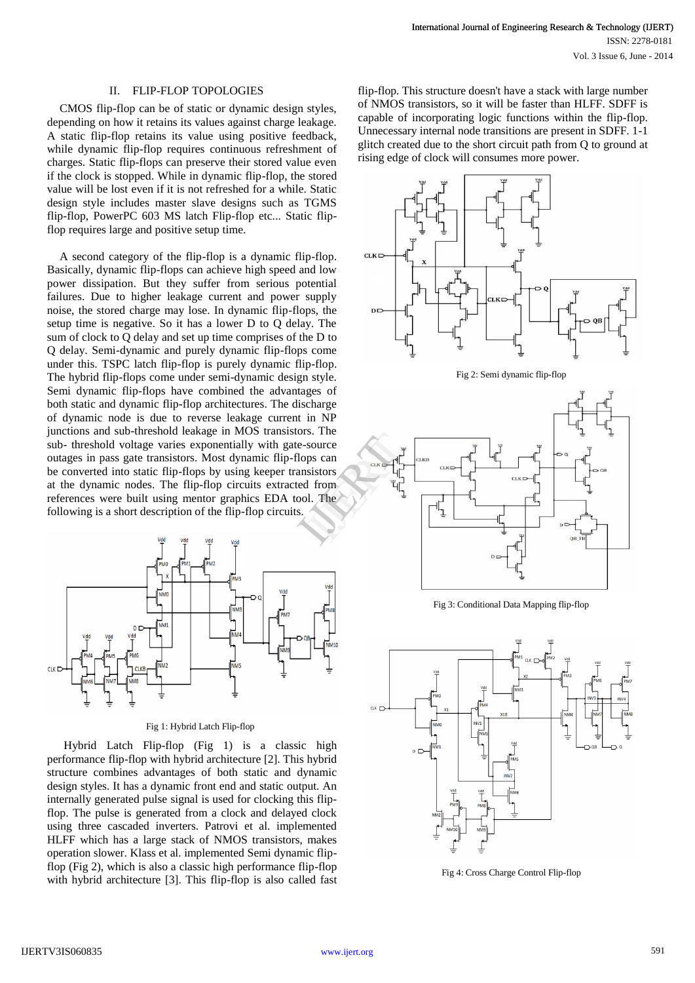#### II. FLIP-FLOP TOPOLOGIES

CMOS flip-flop can be of static or dynamic design styles, depending on how it retains its values against charge leakage. A static flip-flop retains its value using positive feedback, while dynamic flip-flop requires continuous refreshment of charges. Static flip-flops can preserve their stored value even if the clock is stopped. While in dynamic flip-flop, the stored value will be lost even if it is not refreshed for a while. Static design style includes master slave designs such as TGMS flip-flop, PowerPC 603 MS latch Flip-flop etc... Static flipflop requires large and positive setup time.

A second category of the flip-flop is a dynamic flip-flop. Basically, dynamic flip-flops can achieve high speed and low power dissipation. But they suffer from serious potential failures. Due to higher leakage current and power supply noise, the stored charge may lose. In dynamic flip-flops, the setup time is negative. So it has a lower D to Q delay. The sum of clock to Q delay and set up time comprises of the D to Q delay. Semi-dynamic and purely dynamic flip-flops come under this. TSPC latch flip-flop is purely dynamic flip-flop. The hybrid flip-flops come under semi-dynamic design style. Semi dynamic flip-flops have combined the advantages of both static and dynamic flip-flop architectures. The discharge of dynamic node is due to reverse leakage current in NP junctions and sub-threshold leakage in MOS transistors. The sub- threshold voltage varies exponentially with gate-source outages in pass gate transistors. Most dynamic flip-flops can be converted into static flip-flops by using keeper transistors at the dynamic nodes. The flip-flop circuits extracted from references were built using mentor graphics EDA tool. The following is a short description of the flip-flop circuits.



#### Fig 1: Hybrid Latch Flip-flop

Hybrid Latch Flip-flop (Fig 1) is a classic high performance flip-flop with hybrid architecture [2]. This hybrid structure combines advantages of both static and dynamic design styles. It has a dynamic front end and static output. An internally generated pulse signal is used for clocking this flipflop. The pulse is generated from a clock and delayed clock using three cascaded inverters. Patrovi et al. implemented HLFF which has a large stack of NMOS transistors, makes operation slower. Klass et al. implemented Semi dynamic flipflop (Fig 2), which is also a classic high performance flip-flop with hybrid architecture [3]. This flip-flop is also called fast

flip-flop. This structure doesn't have a stack with large number of NMOS transistors, so it will be faster than HLFF. SDFF is capable of incorporating logic functions within the flip-flop. Unnecessary internal node transitions are present in SDFF. 1-1 glitch created due to the short circuit path from Q to ground at rising edge of clock will consumes more power.



Fig 2: Semi dynamic flip-flop



Fig 3: Conditional Data Mapping flip-flop



Fig 4: Cross Charge Control Flip-flop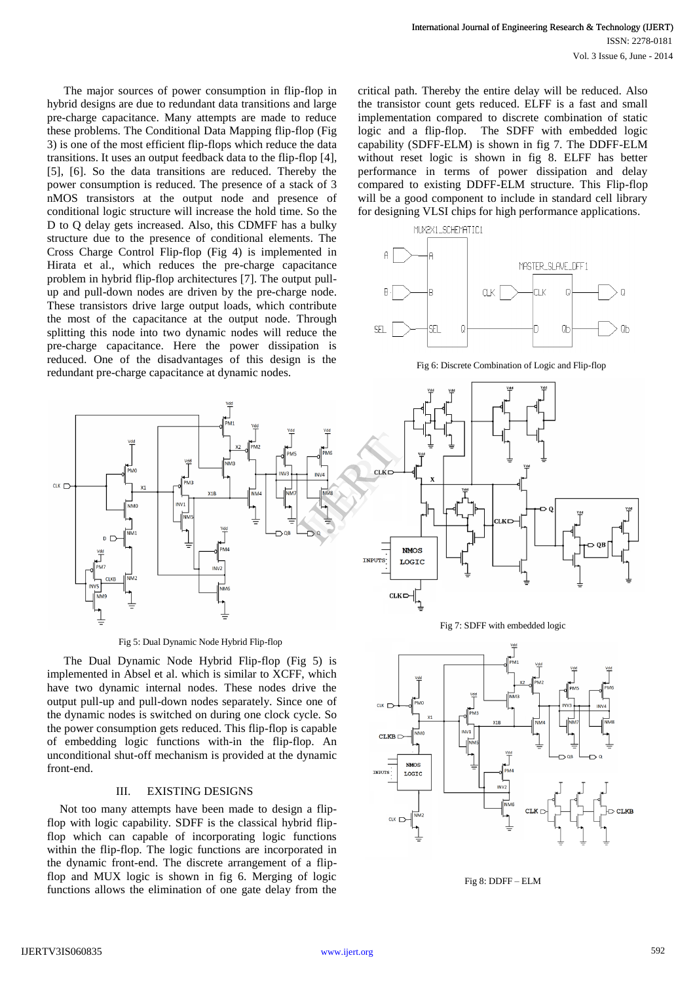The major sources of power consumption in flip-flop in hybrid designs are due to redundant data transitions and large pre-charge capacitance. Many attempts are made to reduce these problems. The Conditional Data Mapping flip-flop (Fig 3) is one of the most efficient flip-flops which reduce the data transitions. It uses an output feedback data to the flip-flop [4], [5], [6]. So the data transitions are reduced. Thereby the power consumption is reduced. The presence of a stack of 3 nMOS transistors at the output node and presence of conditional logic structure will increase the hold time. So the D to Q delay gets increased. Also, this CDMFF has a bulky structure due to the presence of conditional elements. The Cross Charge Control Flip-flop (Fig 4) is implemented in Hirata et al., which reduces the pre-charge capacitance problem in hybrid flip-flop architectures [7]. The output pullup and pull-down nodes are driven by the pre-charge node. These transistors drive large output loads, which contribute the most of the capacitance at the output node. Through splitting this node into two dynamic nodes will reduce the pre-charge capacitance. Here the power dissipation is reduced. One of the disadvantages of this design is the redundant pre-charge capacitance at dynamic nodes.



Fig 5: Dual Dynamic Node Hybrid Flip-flop

The Dual Dynamic Node Hybrid Flip-flop (Fig 5) is implemented in Absel et al. which is similar to XCFF, which have two dynamic internal nodes. These nodes drive the output pull-up and pull-down nodes separately. Since one of the dynamic nodes is switched on during one clock cycle. So the power consumption gets reduced. This flip-flop is capable of embedding logic functions with-in the flip-flop. An unconditional shut-off mechanism is provided at the dynamic front-end.

### III. EXISTING DESIGNS

Not too many attempts have been made to design a flipflop with logic capability. SDFF is the classical hybrid flipflop which can capable of incorporating logic functions within the flip-flop. The logic functions are incorporated in the dynamic front-end. The discrete arrangement of a flipflop and MUX logic is shown in fig 6. Merging of logic functions allows the elimination of one gate delay from the

critical path. Thereby the entire delay will be reduced. Also the transistor count gets reduced. ELFF is a fast and small implementation compared to discrete combination of static logic and a flip-flop. The SDFF with embedded logic capability (SDFF-ELM) is shown in fig 7. The DDFF-ELM without reset logic is shown in fig 8. ELFF has better performance in terms of power dissipation and delay compared to existing DDFF-ELM structure. This Flip-flop will be a good component to include in standard cell library for designing VLSI chips for high performance applications.



Fig 6: Discrete Combination of Logic and Flip-flop







Fig 8: DDFF – ELM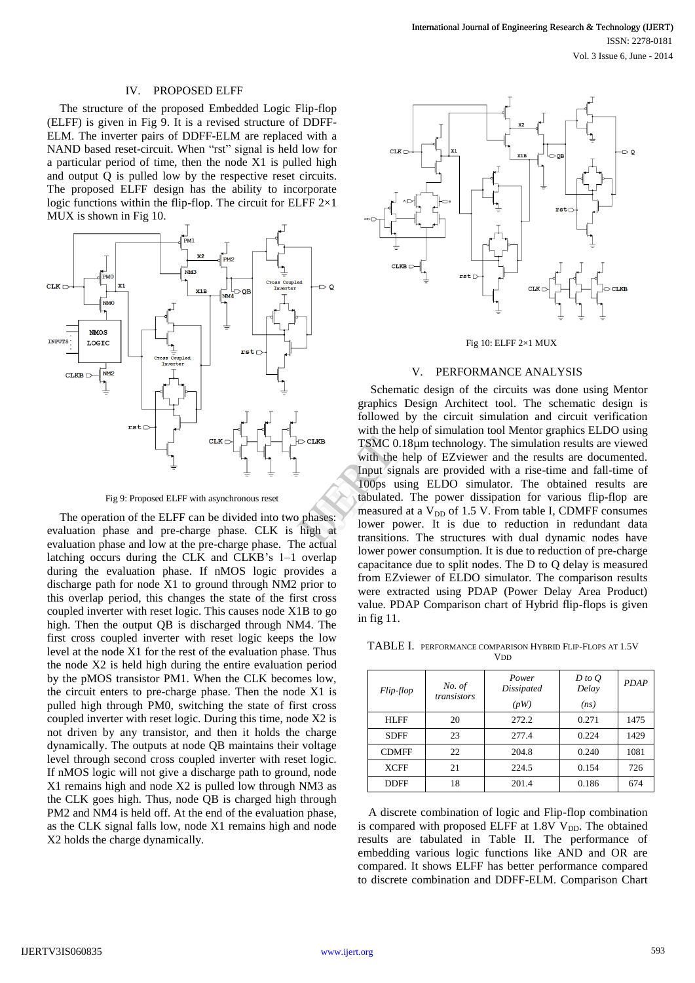#### IV. PROPOSED ELFF

The structure of the proposed Embedded Logic Flip-flop (ELFF) is given in Fig 9. It is a revised structure of DDFF-ELM. The inverter pairs of DDFF-ELM are replaced with a NAND based reset-circuit. When "rst" signal is held low for a particular period of time, then the node X1 is pulled high and output Q is pulled low by the respective reset circuits. The proposed ELFF design has the ability to incorporate logic functions within the flip-flop. The circuit for ELFF  $2\times1$ MUX is shown in Fig 10.



Fig 9: Proposed ELFF with asynchronous reset

The operation of the ELFF can be divided into two phases: evaluation phase and pre-charge phase. CLK is high at evaluation phase and low at the pre-charge phase. The actual latching occurs during the CLK and CLKB's 1–1 overlap during the evaluation phase. If nMOS logic provides a discharge path for node X1 to ground through NM2 prior to this overlap period, this changes the state of the first cross coupled inverter with reset logic. This causes node X1B to go high. Then the output QB is discharged through NM4. The first cross coupled inverter with reset logic keeps the low level at the node X1 for the rest of the evaluation phase. Thus the node X2 is held high during the entire evaluation period by the pMOS transistor PM1. When the CLK becomes low, the circuit enters to pre-charge phase. Then the node X1 is pulled high through PM0, switching the state of first cross coupled inverter with reset logic. During this time, node X2 is not driven by any transistor, and then it holds the charge dynamically. The outputs at node QB maintains their voltage level through second cross coupled inverter with reset logic. If nMOS logic will not give a discharge path to ground, node X1 remains high and node X2 is pulled low through NM3 as the CLK goes high. Thus, node QB is charged high through PM2 and NM4 is held off. At the end of the evaluation phase, as the CLK signal falls low, node X1 remains high and node X2 holds the charge dynamically.



#### Fig 10: ELFF 2×1 MUX

#### V. PERFORMANCE ANALYSIS

Schematic design of the circuits was done using Mentor graphics Design Architect tool. The schematic design is followed by the circuit simulation and circuit verification with the help of simulation tool Mentor graphics ELDO using TSMC 0.18µm technology. The simulation results are viewed with the help of EZviewer and the results are documented. Input signals are provided with a rise-time and fall-time of 100ps using ELDO simulator. The obtained results are tabulated. The power dissipation for various flip-flop are measured at a  $V_{DD}$  of 1.5 V. From table I, CDMFF consumes lower power. It is due to reduction in redundant data transitions. The structures with dual dynamic nodes have lower power consumption. It is due to reduction of pre-charge capacitance due to split nodes. The D to Q delay is measured from EZviewer of ELDO simulator. The comparison results were extracted using PDAP (Power Delay Area Product) value. PDAP Comparison chart of Hybrid flip-flops is given in fig 11. TSMC 0.18<br>
TSMC 0.18<br>
with the help<br>
Input signals<br>
100ps using<br>
tabulated. T<br>
measured at<br>
lower powe<br>
transitions.

TABLE I. PERFORMANCE COMPARISON HYBRID FLIP-FLOPS AT 1.5V **V<sub>DD</sub>** 

| Flip-flop    | No. of<br>transistors | Power<br>Dissipated | $D$ to $Q$<br>Delay | <b>PDAP</b> |
|--------------|-----------------------|---------------------|---------------------|-------------|
|              |                       | (pW)                | (ns)                |             |
| HLFF         | 20                    | 272.2               | 0.271               | 1475        |
| <b>SDFF</b>  | 23                    | 277.4               | 0.224               | 1429        |
| <b>CDMFF</b> | 22                    | 204.8               | 0.240               | 1081        |
| <b>XCFF</b>  | 21                    | 224.5               | 0.154               | 726         |
| <b>DDFF</b>  | 18                    | 201.4               | 0.186               | 674         |

A discrete combination of logic and Flip-flop combination is compared with proposed ELFF at 1.8V V<sub>DD</sub>. The obtained results are tabulated in Table II. The performance of embedding various logic functions like AND and OR are compared. It shows ELFF has better performance compared to discrete combination and DDFF-ELM. Comparison Chart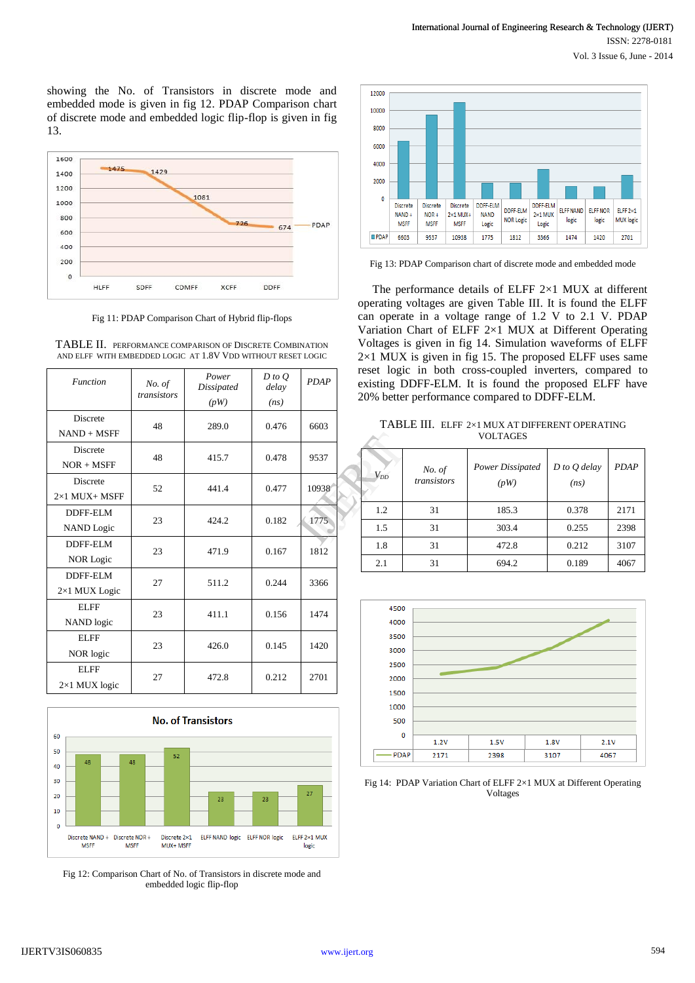showing the No. of Transistors in discrete mode and embedded mode is given in fig 12. PDAP Comparison chart of discrete mode and embedded logic flip-flop is given in fig 13.



Fig 11: PDAP Comparison Chart of Hybrid flip-flops

| <b>Function</b>                         | No. of<br>transistors | Power<br>Dissipated<br>(pW) | $D$ to $Q$<br>delay<br>(ns) | <b>PDAP</b> |
|-----------------------------------------|-----------------------|-----------------------------|-----------------------------|-------------|
| <b>Discrete</b><br>$NAND + MSFF$        | 48                    | 289.0                       | 0.476                       | 6603        |
| <b>Discrete</b><br>$NOR + MSFF$         | 48                    | 415.7                       | 0.478                       | 9537        |
| <b>Discrete</b><br>$2\times1$ MUX+ MSFF | 52                    | 441.4                       | 0.477                       | 10938       |
| DDFF-ELM<br><b>NAND</b> Logic           | 23                    | 424.2                       | 0.182                       | 1775        |
| DDFF-ELM<br><b>NOR Logic</b>            | 23                    | 471.9                       | 0.167                       | 1812        |
| DDFF-ELM<br>2×1 MUX Logic               | 27                    | 511.2                       | 0.244                       | 3366        |
| <b>ELFF</b><br>NAND logic               | 23                    | 411.1                       | 0.156                       | 1474        |
| <b>ELFF</b><br>NOR logic                | 23                    | 426.0                       | 0.145                       | 1420        |
| <b>ELFF</b><br>$2\times1$ MUX logic     | 27                    | 472.8                       | 0.212                       | 2701        |





Fig 12: Comparison Chart of No. of Transistors in discrete mode and embedded logic flip-flop



Fig 13: PDAP Comparison chart of discrete mode and embedded mode

 The performance details of ELFF 2×1 MUX at different operating voltages are given Table III. It is found the ELFF can operate in a voltage range of 1.2 V to 2.1 V. PDAP Variation Chart of ELFF 2×1 MUX at Different Operating Voltages is given in fig 14. Simulation waveforms of ELFF  $2\times1$  MUX is given in fig 15. The proposed ELFF uses same reset logic in both cross-coupled inverters, compared to existing DDFF-ELM. It is found the proposed ELFF have 20% better performance compared to DDFF-ELM.

TABLE III. ELFF 2×1 MUX AT DIFFERENT OPERATING VOLTAGES

|       | <b>VOLTAGES</b> |             |                  |                  |             |  |  |
|-------|-----------------|-------------|------------------|------------------|-------------|--|--|
| 9537  |                 | No. of      | Power Dissipated | $D$ to $Q$ delay | <b>PDAP</b> |  |  |
| 10938 | $V_{DD}$        | transistors | (pW)             | (ns)             |             |  |  |
|       | 1.2             | 31          | 185.3            | 0.378            | 2171        |  |  |
| 1775  | 1.5             | 31          | 303.4            | 0.255            | 2398        |  |  |
| 1812  | 1.8             | 31          | 472.8            | 0.212            | 3107        |  |  |
|       | 2.1             | 31          | 694.2            | 0.189            | 4067        |  |  |



Fig 14: PDAP Variation Chart of ELFF 2×1 MUX at Different Operating Voltages